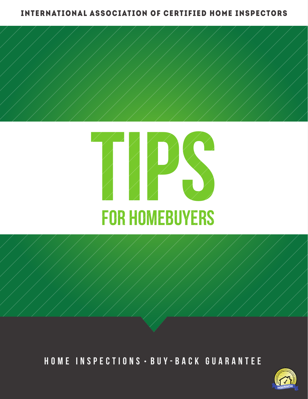## INTERNATIONAL ASSOCIATION OF CERTIFIED HOME INSPECTORS





HOME INSPECTIONS · BUY-BACK GUARANTEE

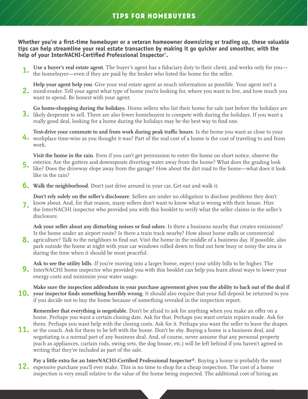**Whether you're a first-time homebuyer or a veteran homeowner downsizing or trading up, these valuable tips can help streamline your real estate transaction by making it go quicker and smoother, with the help of your InterNACHI-Certified Professional Inspector® .**

**Use a buyer's real estate agent**. The buyer's agent has a fiduciary duty to their client, and works only for you the homebuyer—even if they are paid by the broker who listed the home for the seller. **1.** 

**Help your agent help you**. Give your real estate agent as much information as possible. Your agent isn't a mind-reader. Tell your agent what type of home you're looking for, where you want to live, and how much you **2.** want to spend. Be honest with your agent.

**Go home-shopping during the holidays**. Home sellers who list their home for sale just before the holidays are likely desperate to sell. There are also fewer homebuyers to compete with during the holidays. If you want a **3.** really good deal, looking for a home during the holidays may be the best way to find one.

**Test-drive your commute to and from work during peak traffic hours**. Is the home you want as close to your workplace time-wise as you thought it was? Part of the real cost of a home is the cost of traveling to and from **4.** work.

ence is the direct gatters and downspocks diverting water away from the home. What does the grading foot it look **Visit the home in the rain**. Even if you can't get permission to enter the home on short notice, observe the exterior. Are the gutters and downspouts diverting water away from the home? What does the grading look like in the rain? **5.**

**Walk the neighborhood**. Don't just drive around in your car. Get out and walk it. **6.**

**Don't rely solely on the seller's disclosure**. Sellers are under no obligation to disclose problems they don't know about. And, for that reason, many sellers don't want to know what is wrong with their house. Hire the InterNACHI inspector who provided you with this booklet to verify what the seller claims in the seller's disclosure. **7.**

**Ask your seller about any disturbing noises or foul odors**. Is there a business nearby that creates emissions? Is the home under an airport route? Is there a train track nearby? How about horse stalls or commercial

agriculture? Talk to the neighbors to find out. Visit the home in the middle of a business day. If possible, also **8.** park outside the home at night with your car windows rolled down to find out how busy or noisy the area is during the time when it should be most peaceful.

**Ask to see the utility bills**. If you're moving into a larger home, expect your utility bills to be higher. The InterNACHI home inspector who provided you with this booklet can help you learn about ways to lower your **9.** energy costs and minimize your water usage.

**Make sure the inspection addendum in your purchase agreement gives you the ability to back out of the deal if**  10. your inspector finds something horribly wrong. It should also require that your full deposit be returned to you if you decide not to buy the home because of something revealed in the inspection report.

**Remember that everything is negotiable**. Don't be afraid to ask for anything when you make an offer on a home. Perhaps you want a certain closing date. Ask for that. Perhaps you want certain repairs made. Ask for them. Perhaps you want help with the closing costs. Ask for it. Perhaps you want the seller to leave the drapes

- **11.** or the couch. Ask for them to be left with the home. Don't be shy. Buying a home is a business deal, and negotiating is a normal part of any business deal. And, of course, never assume that any personal property (such as appliances, curtain rods, swing sets, the dog house, etc.) will be left behind if you haven't agreed in writing that they're included as part of the sale.
- **Pay a little extra for an InterNACHI-Certified Professional Inspector®**. Buying a home is probably the most expensive purchase you'll ever make. This is no time to shop for a cheap inspection. The cost of a home **12.**inspection is very small relative to the value of the home being inspected. The additional cost of hiring an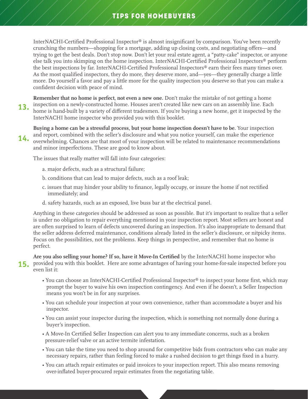## TIPS FOR HOMEBUYERS

InterNACHI-Certified Professional Inspector® is almost insignificant by comparison. You've been recently crunching the numbers—shopping for a mortgage, adding up closing costs, and negotiating offers—and trying to get the best deals. Don't stop now. Don't let your real estate agent, a "patty-cake" inspector, or anyone else talk you into skimping on the home inspection. InterNACHI-Certified Professional Inspectors® perform the best inspections by far. InterNACHI-Certified Professional Inspectors® earn their fees many times over. As the most qualified inspectors, they do more, they deserve more, and—yes—they generally charge a little more. Do yourself a favor and pay a little more for the quality inspection you deserve so that you can make a confident decision with peace of mind.

**Remember that no home is perfect, not even a new one.** Don't make the mistake of not getting a home inspection on a newly-constructed home. Houses aren't created like new cars on an assembly line. Each home is hand-built by a variety of different tradesmen. If you're buying a new home, get it inspected by the InterNACHI home inspector who provided you with this booklet. **13.**

**Buying a home can be a stressful process, but your home inspection doesn't have to be**. Your inspection and report, combined with the seller's disclosure and what you notice yourself, can make the experience overwhelming. Chances are that most of your inspection will be related to maintenance recommendations and minor imperfections. These are good to know about. **14.**

The issues that really matter will fall into four categories:

- a. major defects, such as a structural failure;
- b. conditions that can lead to major defects, such as a roof leak;
- c. issues that may hinder your ability to finance, legally occupy, or insure the home if not rectified immediately; and
- d. safety hazards, such as an exposed, live buss bar at the electrical panel.

Anything in these categories should be addressed as soon as possible. But it's important to realize that a seller is under no obligation to repair everything mentioned in your inspection report. Most sellers are honest and are often surprised to learn of defects uncovered during an inspection. It's also inappropriate to demand that the seller address deferred maintenance, conditions already listed in the seller's disclosure, or nitpicky items. Focus on the possibilities, not the problems. Keep things in perspective, and remember that no home is perfect.

**Are you also selling your home? If so, have it Move-In Certified** by the InterNACHI home inspector who 15. provided you with this booklet. Here are some advantages of having your home-for-sale inspected before you even list it:

- You can choose an InterNACHI-Certified Professional Inspector® to inspect your home first, which may prompt the buyer to waive his own inspection contingency. And even if he doesn't, a Seller Inspection means you won't be in for any surprises.
- You can schedule your inspection at your own convenience, rather than accommodate a buyer and his inspector.
- You can assist your inspector during the inspection, which is something not normally done during a buyer's inspection.
- A Move-In Certified Seller Inspection can alert you to any immediate concerns, such as a broken pressure-relief valve or an active termite infestation.
- You can take the time you need to shop around for competitive bids from contractors who can make any necessary repairs, rather than feeling forced to make a rushed decision to get things fixed in a hurry.
- You can attach repair estimates or paid invoices to your inspection report. This also means removing over-inflated buyer-procured repair estimates from the negotiating table.